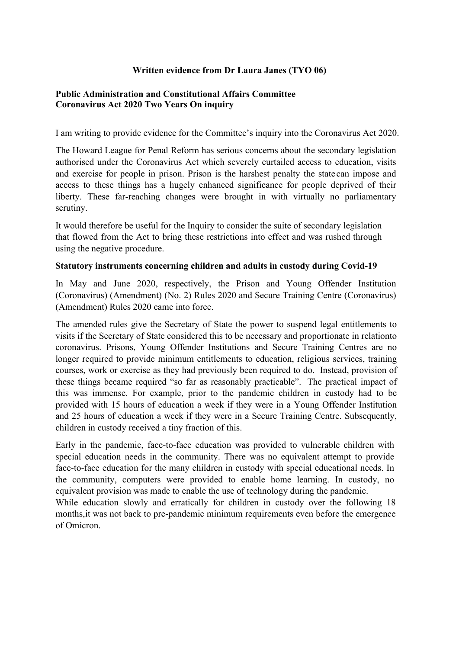# **Written evidence from Dr Laura Janes (TYO 06)**

### **[Public](https://admin.committees.parliament.uk/Committee/Edit/327) [Administration](https://admin.committees.parliament.uk/Committee/Edit/327) [and](https://admin.committees.parliament.uk/Committee/Edit/327) [Constitutional](https://admin.committees.parliament.uk/Committee/Edit/327) [Affairs](https://admin.committees.parliament.uk/Committee/Edit/327) [Committee](https://admin.committees.parliament.uk/Committee/Edit/327) [Coronavirus](https://admin.committees.parliament.uk/Committee/327/CommitteeBusiness/Edit/1718) [Act](https://admin.committees.parliament.uk/Committee/327/CommitteeBusiness/Edit/1718) [2020](https://admin.committees.parliament.uk/Committee/327/CommitteeBusiness/Edit/1718) [Two](https://admin.committees.parliament.uk/Committee/327/CommitteeBusiness/Edit/1718) [Years](https://admin.committees.parliament.uk/Committee/327/CommitteeBusiness/Edit/1718) [On](https://admin.committees.parliament.uk/Committee/327/CommitteeBusiness/Edit/1718) inquiry**

I am writing to provide evidence for the Committee's inquiry into the Coronavirus Act 2020.

The Howard League for Penal Reform has serious concerns about the secondary legislation authorised under the Coronavirus Act which severely curtailed access to education, visits and exercise for people in prison. Prison is the harshest penalty the state can impose and access to these things has a hugely enhanced significance for people deprived of their liberty. These far-reaching changes were brought in with virtually no parliamentary scrutiny.

It would therefore be useful for the Inquiry to consider the suite of secondary legislation that flowed from the Act to bring these restrictions into effect and was rushed through using the negative procedure.

#### **Statutory instruments concerning children and adults in custody during Covid-19**

In May and June 2020, respectively, the Prison and Young Offender Institution (Coronavirus) (Amendment) (No. 2) Rules 2020 and Secure Training Centre (Coronavirus) (Amendment) Rules 2020 came into force.

The amended rules give the Secretary of State the power to suspend legal entitlements to visits if the Secretary of State considered this to be necessary and proportionate in relationto coronavirus. Prisons, Young Offender Institutions and Secure Training Centres are no longer required to provide minimum entitlements to education, religious services, training courses, work or exercise as they had previously been required to do. Instead, provision of these things became required "so far as reasonably practicable". The practical impact of this was immense. For example, prior to the pandemic children in custody had to be provided with 15 hours of education a week if they were in a Young Offender Institution and 25 hours of education a week if they were in a Secure Training Centre. Subsequently, children in custody received a tiny fraction of this.

Early in the pandemic, face-to-face education was provided to vulnerable children with special education needs in the community. There was no equivalent attempt to provide face-to-face education for the many children in custody with special educational needs. In the community, computers were provided to enable home learning. In custody, no equivalent provision was made to enable the use of technology during the pandemic.

While education slowly and erratically for children in custody over the following 18 months,it was not back to pre-pandemic minimum requirements even before the emergence of Omicron.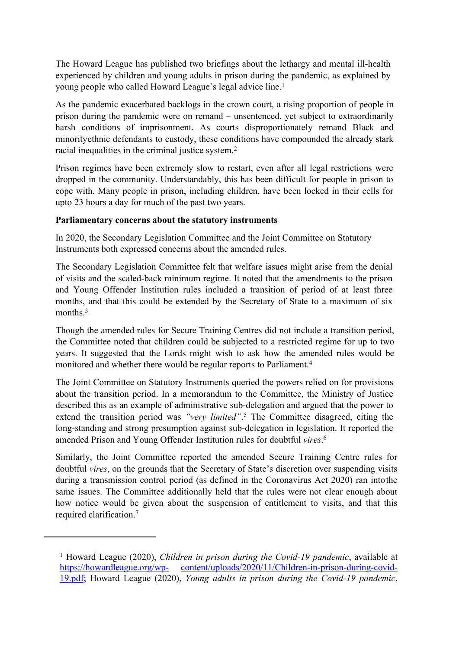The Howard League has published two briefings about the lethargy and mental ill-health experienced by children and young adults in prison during the pandemic, as explained by young people who called Howard League's legal advice line.<sup>1</sup>

As the pandemic exacerbated backlogs in the crown court, a rising proportion of people in prison during the pandemic were on remand – unsentenced, yet subject to extraordinarily harsh conditions of imprisonment. As courts disproportionately remand Black and minorityethnic defendants to custody, these conditions have compounded the already stark racial inequalities in the criminal justice system.<sup>2</sup>

Prison regimes have been extremely slow to restart, even after all legal restrictions were dropped in the community. Understandably, this has been difficult for people in prison to cope with. Many people in prison, including children, have been locked in their cells for upto 23 hours a day for much of the past two years.

# **Parliamentary concerns about the statutory instruments**

In 2020, the Secondary Legislation Committee and the Joint Committee on Statutory Instruments both expressed concerns about the amended rules.

The Secondary Legislation Committee felt that welfare issues might arise from the denial of visits and the scaled-back minimum regime. It noted that the amendments to the prison and Young Offender Institution rules included a transition of period of at least three months, and that this could be extended by the Secretary of State to a maximum of six months  $3$ 

Though the amended rules for Secure Training Centres did not include a transition period, the Committee noted that children could be subjected to a restricted regime for up to two years. It suggested that the Lords might wish to ask how the amended rules would be monitored and whether there would be regular reports to Parliament.<sup>4</sup>

The Joint Committee on Statutory Instruments queried the powers relied on for provisions about the transition period. In a memorandum to the Committee, the Ministry of Justice described this as an example of administrative sub-delegation and argued that the power to extend the transition period was *"very limited"*. <sup>5</sup> The Committee disagreed, citing the long-standing and strong presumption against sub-delegation in legislation. It reported the amended Prison and Young Offender Institution rules for doubtful *vires*. 6

Similarly, the Joint Committee reported the amended Secure Training Centre rules for doubtful *vires*, on the grounds that the Secretary of State's discretion over suspending visits during a transmission control period (as defined in the Coronavirus Act 2020) ran intothe same issues. The Committee additionally held that the rules were not clear enough about how notice would be given about the suspension of entitlement to visits, and that this required clarification.<sup>7</sup>

<sup>1</sup> Howard League (2020), *Children in prison during the Covid-19 pandemic*, available at https://howardleague.org/wp- content/uploads/2020/11/Children-in-prison-during-covid-19.pdf; Howard League (2020), *Young adults in prison during the Covid-19 pandemic*,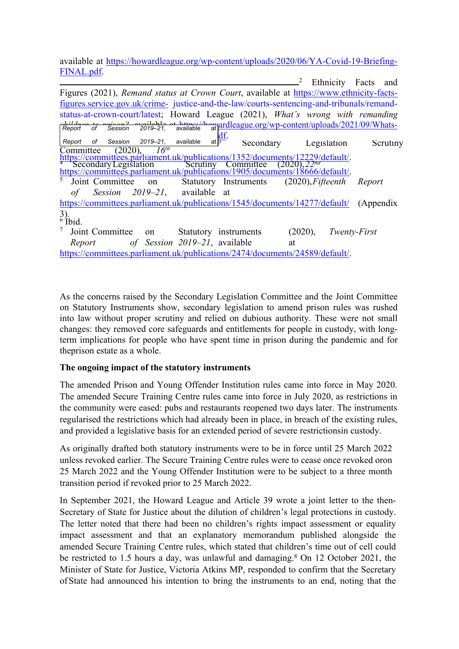available at https://howardleague.org/wp-content/uploads/2020/06/YA-Covid-19-Briefing-FINAL.pdf.

|                                                                                                                                                                | Ethnicity<br>Facts<br>and |
|----------------------------------------------------------------------------------------------------------------------------------------------------------------|---------------------------|
| Figures (2021), Remand status at Crown Court, available at https://www.ethnicity-facts-                                                                        |                           |
| figures.service.gov.uk/crime- justice-and-the-law/courts-sentencing-and-tribunals/remand-                                                                      |                           |
| status-at-crown-court/latest; Howard League (2021), What's wrong with remanding                                                                                |                           |
| 2019-21, available at architecture at a strategy wp-content/uploads/2021/09/Whats-<br>akilduan ta mujaan?<br>Report of Session                                 |                           |
|                                                                                                                                                                |                           |
| 2019-21,<br>at $\overline{5}$<br>Session<br>available<br>of<br>Report<br>Secondary                                                                             | Legislation<br>Scrutiny   |
| 16 <sup>th</sup><br>$(2020)$ ,<br>Committee                                                                                                                    |                           |
| https://committees.parliament.uk/publications/1352/documents/12229/default/.                                                                                   |                           |
| <sup>4</sup> Secondary Legislation Scrutiny Committee (2020), 22 <sup>na</sup><br>https://committees.parliament.uk/publications/1905/documents/18666/default/. |                           |
| Joint Committee<br>$(2020)$ , Fifteenth<br>Statutory Instruments<br>on                                                                                         | Report                    |
| Session 2019–21, available at<br>οf                                                                                                                            |                           |
| https://committees.parliament.uk/publications/1545/documents/14277/default/                                                                                    | (Appendix)                |
| $\frac{3}{6}$ lbid.                                                                                                                                            |                           |
| Joint Committee<br>Statutory instruments<br>$(2020)$ ,<br>on                                                                                                   | Twenty-First              |
| of Session 2019–21, available<br>Report<br>at                                                                                                                  |                           |
| https://committees.parliament.uk/publications/2474/documents/24589/default/.                                                                                   |                           |
|                                                                                                                                                                |                           |

As the concerns raised by the Secondary Legislation Committee and the Joint Committee on Statutory Instruments show, secondary legislation to amend prison rules was rushed into law without proper scrutiny and relied on dubious authority. These were not small changes: they removed core safeguards and entitlements for people in custody, with longterm implications for people who have spent time in prison during the pandemic and for theprison estate as a whole.

#### **The ongoing impact of the statutory instruments**

The amended Prison and Young Offender Institution rules came into force in May 2020. The amended Secure Training Centre rules came into force in July 2020, as restrictions in the community were eased: pubs and restaurants reopened two days later. The instruments regularised the restrictions which had already been in place, in breach of the existing rules, and provided a legislative basis for an extended period of severe restrictionsin custody.

As originally drafted both statutory instruments were to be in force until 25 March 2022 unless revoked earlier. The Secure Training Centre rules were to cease once revoked oron 25 March 2022 and the Young Offender Institution were to be subject to a three month transition period if revoked prior to 25 March 2022.

In September 2021, the Howard League and Article 39 wrote a joint letter to the then-Secretary of State for Justice about the dilution of children's legal protections in custody. The letter noted that there had been no children's rights impact assessment or equality impact assessment and that an explanatory memorandum published alongside the amended Secure Training Centre rules, which stated that children's time out of cell could be restricted to 1.5 hours a day, was unlawful and damaging.<sup>8</sup> On 12 October 2021, the Minister of State for Justice, Victoria Atkins MP, responded to confirm that the Secretary ofState had announced his intention to bring the instruments to an end, noting that the